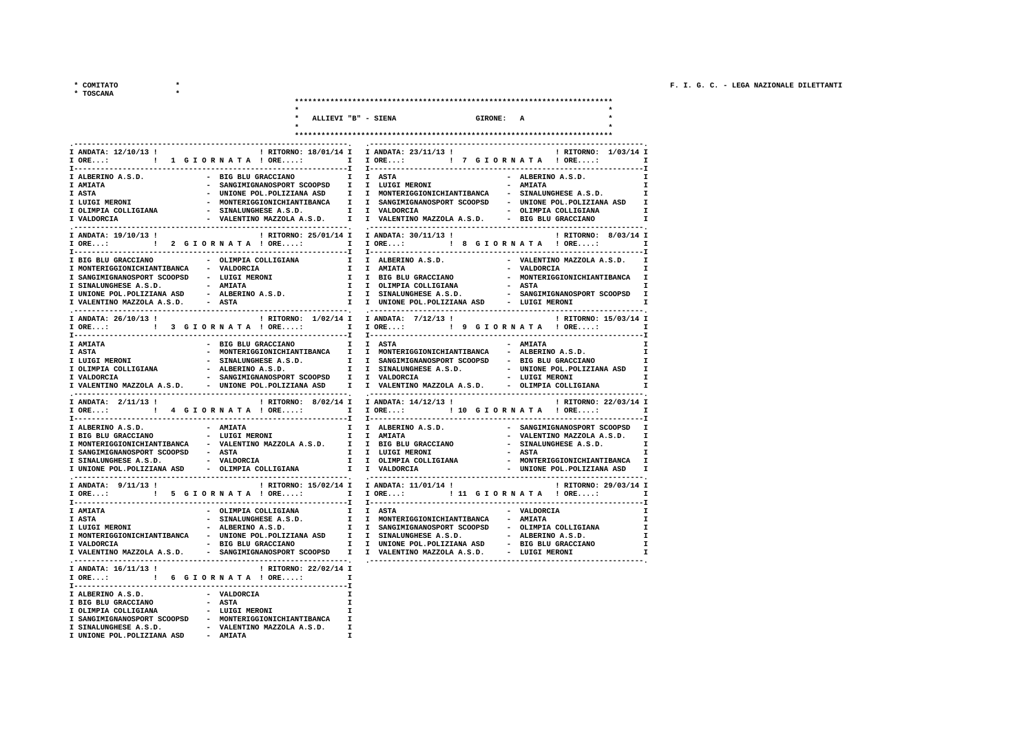\* COMITATO

 $\star$ 

| * TOSCANA                                                                                          |                                                        |                                                                                                                                 |                  |                         |                                                  |
|----------------------------------------------------------------------------------------------------|--------------------------------------------------------|---------------------------------------------------------------------------------------------------------------------------------|------------------|-------------------------|--------------------------------------------------|
|                                                                                                    |                                                        |                                                                                                                                 |                  |                         |                                                  |
|                                                                                                    | ALLIEVI "B" - SIENA                                    |                                                                                                                                 | <b>GIRONE: A</b> |                         |                                                  |
|                                                                                                    |                                                        |                                                                                                                                 |                  |                         |                                                  |
|                                                                                                    |                                                        |                                                                                                                                 |                  |                         |                                                  |
| I ANDATA: 12/10/13 !                                                                               |                                                        | ! RITORNO: 18/01/14 I I ANDATA: 23/11/13 !                                                                                      |                  |                         | ! RITORNO: 1/03/14 I                             |
| <b>T-----------</b>                                                                                |                                                        |                                                                                                                                 |                  |                         | $\mathbf{I}$<br>------T                          |
| - BIG BLU GRACCIANO I I ASTA<br>I ALBERINO A.S.D.                                                  |                                                        | ------I I--------                                                                                                               |                  | - ALBERINO A.S.D.       | <b>I</b>                                         |
| I AMIATA                                                                                           |                                                        | - SANGIMIGNANOSPORT SCOOPSD I I LUIGI MERONI                                                                                    |                  | - AMIATA                | $\mathbf{r}$                                     |
| I ASTA<br>I LUIGI MERONI                                                                           |                                                        | - UNIONE POL. POLIZIANA ASD I I MONTERIGGIONICHIANTIBANCA - SINALUNGHESE A.S.D.                                                 |                  |                         | $\mathbf{I}$                                     |
| I OLIMPIA COLLIGIANA                                                                               |                                                        | - MONTERIGGIONICHIANTIBANCA I I SANGIMIGNANOSPORT SCOOPSD - UNIONE POL.POLIZIANA ASD I<br>- SINALUNGHESE A.S.D. I I VALDORCIA   |                  |                         | - OLIMPIA COLLIGIANA<br>I                        |
| I VALDORCIA                                                                                        |                                                        | - VALENTINO MAZZOLA A.S.D. I I VALENTINO MAZZOLA A.S.D. - BIG BLU GRACCIANO                                                     |                  |                         | — т                                              |
| . --------------------------------<br>I ANDATA: 19/10/13 !                                         | ! RITORNO: 25/01/14 I                                  | I ANDATA: 30/11/13 !                                                                                                            |                  |                         | ! RITORNO: 8/03/14 I                             |
| I ORE: ! 2 G I O R N A T A ! ORE: I                                                                |                                                        |                                                                                                                                 |                  |                         | $\mathbf{I}$ and $\mathbf{I}$                    |
|                                                                                                    |                                                        | <b>T-------------</b>                                                                                                           |                  |                         |                                                  |
| - OLIMPIA COLLIGIANA<br>I BIG BLU GRACCIANO<br>I MONTERIGGIONICHIANTIBANCA - VALDORCIA             | $\mathbf{I}$                                           | I ALBERINO A.S.D.<br>I I AMIATA                                                                                                 |                  | - VALDORCIA             | - VALENTINO MAZZOLA A.S.D.<br>$\mathbf{I}$<br>I. |
| I SANGIMIGNANOSPORT SCOOPSD - LUIGI MERONI                                                         |                                                        | I I BIG BLU GRACCIANO                                                                                                           |                  |                         | - MONTERIGGIONICHIANTIBANCA I                    |
| I SINALUNGHESE A.S.D. - AMIATA                                                                     |                                                        | I I OLIMPIA COLLIGIANA                                                                                                          |                  | - ASTA                  | <b>I</b>                                         |
| I UNIONE POL. POLIZIANA ASD<br>- ALBERINO A.S.D.<br>I VALENTINO MAZZOLA A.S.D. - ASTA              |                                                        | I I SINALUNGHESE A.S.D.<br>I I UNIONE POL.POLIZIANA ASD - LUIGI MERONI                                                          |                  |                         | - SANGIMIGNANOSPORT SCOOPSD I<br>$\mathbf{r}$    |
|                                                                                                    |                                                        |                                                                                                                                 |                  |                         |                                                  |
| I ANDATA: 26/10/13 !                                                                               | ! RITORNO: 1/02/14 I                                   | I ANDATA: 7/12/13 !                                                                                                             |                  |                         | ! RITORNO: 15/03/14 I                            |
| <b>T----------</b>                                                                                 |                                                        | I ORE: : ! 9 G I O R N A T A ! ORE: I                                                                                           |                  |                         |                                                  |
| I AMIATA                                                                                           | BIG BLU GRACCIANO I I ASTA                             |                                                                                                                                 |                  | - AMIATA                | <b>I</b>                                         |
| <b>I ASTA</b>                                                                                      |                                                        | - MONTERIGGIONICHIANTIBANCA I I MONTERIGGIONICHIANTIBANCA                                                                       |                  | - ALBERINO A.S.D.       | I                                                |
| I LUIGI MERONI<br>- ALBERINO A.S.D.<br>I OLIMPIA COLLIGIANA                                        |                                                        | - SINALUNGHESE A.S.D. I I SANGIMIGNANOSPORT SCOOPSD - BIG BLU GRACCIANO<br>I I SINALUNGHESE A.S.D. - UNIONE POL.POLIZIANA ASD I |                  |                         | I.                                               |
| - SANGIMIGNANOSPORT SCOOPSD I I VALDORCIA<br>I VALDORCIA                                           |                                                        |                                                                                                                                 |                  |                         | - LUIGI MERONI<br><b>I</b>                       |
| - UNIONE POL. POLIZIANA ASD<br>I VALENTINO MAZZOLA A.S.D.                                          | $\mathbf{I}$                                           | I VALENTINO MAZZOLA A.S.D. - OLIMPIA COLLIGIANA                                                                                 |                  |                         | I                                                |
| I ANDATA: 2/11/13 !                                                                                | ! RITORNO: 8/02/14 I                                   | I ANDATA: 14/12/13 !                                                                                                            |                  |                         | ! RITORNO: 22/03/14 I                            |
|                                                                                                    |                                                        | I ORE: : 10 G I O R N A T A ! ORE: I                                                                                            |                  |                         |                                                  |
| I ALBERINO A.S.D.<br>- AMIATA                                                                      | $\mathbf{I}$                                           | I ALBERINO A.S.D.                                                                                                               |                  |                         | - SANGIMIGNANOSPORT SCOOPSD I                    |
| I BIG BLU GRACCIANO<br>- LUIGI MERONI                                                              |                                                        | I I AMIATA                                                                                                                      |                  |                         | - VALENTINO MAZZOLA A.S.D. I                     |
| I MONTERIGGIONICHIANTIBANCA - VALENTINO MAZZOLA A.S.D. I I BIG BLU GRACCIANO                       |                                                        |                                                                                                                                 |                  |                         | - SINALUNGHESE A.S.D.<br>$\mathbf{I}$            |
| I SANGIMIGNANOSPORT SCOOPSD - ASTA<br>- VALDORCIA<br>I SINALUNGHESE A.S.D.                         |                                                        | I I LUIGI MERONI<br>I I OLIMPIA COLLIGIANA                                                                                      |                  | - ASTA                  | I<br>- MONTERIGGIONICHIANTIBANCA I               |
| I UNIONE POL. POLIZIANA ASD - OLIMPIA COLLIGIANA                                                   |                                                        | I I VALDORCIA                                                                                                                   |                  |                         | - UNIONE POL. POLIZIANA ASD I                    |
| I ANDATA: 9/11/13 !                                                                                | ! RITORNO: 15/02/14 I                                  | I ANDATA: 11/01/14 !                                                                                                            |                  |                         | ! RITORNO: 29/03/14 I                            |
| IORE:  I IORE: I IORE: I II GIORNATA ! ORE:                                                        |                                                        |                                                                                                                                 |                  |                         | $\mathbf{I}$                                     |
| -----------------------                                                                            |                                                        | -----I I--------                                                                                                                |                  | .                       |                                                  |
| - OLIMPIA COLLIGIANA<br>I AMIATA<br>I ASTA<br>- SINALUNGHESE A.S.D.                                |                                                        | I I ASTA<br>I I MONTERIGGIONICHIANTIBANCA                                                                                       |                  | - VALDORCIA<br>- AMIATA | $\mathbf{I}$<br><b>I</b>                         |
| - ALBERINO A.S.D.<br>- ALBERINO A.S.D.<br>I LUIGI MERONI                                           |                                                        | I I SANGIMIGNANOSPORT SCOOPSD - OLIMPIA COLLIGIANA                                                                              |                  |                         | I                                                |
| I MONTERIGGIONICHIANTIBANCA - UNIONE POL.POLIZIANA ASD I I SINALUNGHESE A.S.D. - - ALBERINO A.S.D. |                                                        |                                                                                                                                 |                  |                         | I                                                |
| I VALENTINO MAZZOLA A.S.D. - SANGIMIGNANOSPORT SCOOPSD I I VALENTINO MAZZOLA A.S.D. - LUIGI MERONI |                                                        |                                                                                                                                 |                  |                         | I<br>$\mathbf{I}$                                |
|                                                                                                    |                                                        |                                                                                                                                 |                  |                         |                                                  |
| I ANDATA: 16/11/13 !<br>I ORE: : : : : : 6 G I O R N A T A ! ORE:                                  | ! RITORNO: 22/02/14 I<br>$\mathbf{r}$ and $\mathbf{r}$ |                                                                                                                                 |                  |                         |                                                  |
| $I - - - - - - - - - -$<br>-------------------------------------                                   |                                                        |                                                                                                                                 |                  |                         |                                                  |
| I ALBERINO A.S.D.<br>- VALDORCIA                                                                   | $\mathbf{r}$                                           |                                                                                                                                 |                  |                         |                                                  |
| - ASTA<br>I BIG BLU GRACCIANO<br>I OLIMPIA COLLIGIANA<br>- LUIGI MERONI                            | I                                                      |                                                                                                                                 |                  |                         |                                                  |
| I SANGIMIGNANOSPORT SCOOPSD - MONTERIGGIONICHIANTIBANCA                                            | $\mathbf{I}$                                           |                                                                                                                                 |                  |                         |                                                  |
| I SINALUNGHESE A.S.D. - VALENTINO MAZZOLA A.S.D.<br>I UNIONE POL. POLIZIANA ASD - AMIATA           | T                                                      |                                                                                                                                 |                  |                         |                                                  |
|                                                                                                    |                                                        |                                                                                                                                 |                  |                         |                                                  |